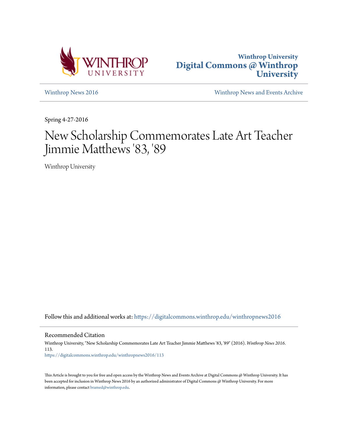



[Winthrop News 2016](https://digitalcommons.winthrop.edu/winthropnews2016?utm_source=digitalcommons.winthrop.edu%2Fwinthropnews2016%2F113&utm_medium=PDF&utm_campaign=PDFCoverPages) [Winthrop News and Events Archive](https://digitalcommons.winthrop.edu/winthropnewsarchives?utm_source=digitalcommons.winthrop.edu%2Fwinthropnews2016%2F113&utm_medium=PDF&utm_campaign=PDFCoverPages)

Spring 4-27-2016

# New Scholarship Commemorates Late Art Teacher Jimmie Matthews '83, '89

Winthrop University

Follow this and additional works at: [https://digitalcommons.winthrop.edu/winthropnews2016](https://digitalcommons.winthrop.edu/winthropnews2016?utm_source=digitalcommons.winthrop.edu%2Fwinthropnews2016%2F113&utm_medium=PDF&utm_campaign=PDFCoverPages)

Recommended Citation

Winthrop University, "New Scholarship Commemorates Late Art Teacher Jimmie Matthews '83, '89" (2016). *Winthrop News 2016*. 113. [https://digitalcommons.winthrop.edu/winthropnews2016/113](https://digitalcommons.winthrop.edu/winthropnews2016/113?utm_source=digitalcommons.winthrop.edu%2Fwinthropnews2016%2F113&utm_medium=PDF&utm_campaign=PDFCoverPages)

This Article is brought to you for free and open access by the Winthrop News and Events Archive at Digital Commons @ Winthrop University. It has been accepted for inclusion in Winthrop News 2016 by an authorized administrator of Digital Commons @ Winthrop University. For more information, please contact [bramed@winthrop.edu](mailto:bramed@winthrop.edu).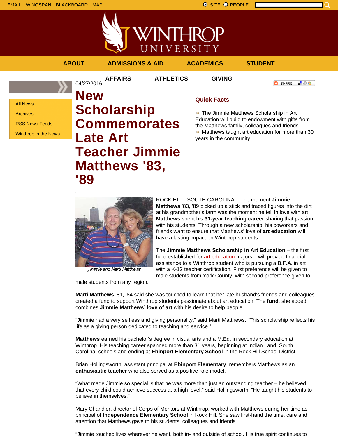

VINTHROP UNIVERSITY

### **ABOUT ADMISSIONS & AID ACADEMICS STUDENT**

04/27/2016

**AFFAIRS ATHLETICS GIVING**

**O** SHARE - 89 年 -

All News

Archives

RSS News Feeds

Winthrop in the News

**New Scholarship Commemorates Late Art Teacher Jimmie Matthews '83, '89**

## **Quick Facts**

**The Jimmie Matthews Scholarship in Art** Education will build to endowment with gifts from the Matthews family, colleagues and friends. Matthews taught art education for more than 30 years in the community.



Jimmie and Marti Matthews

male students from any region.

ROCK HILL, SOUTH CAROLINA – The moment **Jimmie Matthews** '83, '89 picked up a stick and traced figures into the dirt at his grandmother's farm was the moment he fell in love with art. **Matthews** spent his **31-year teaching career** sharing that passion with his students. Through a new scholarship, his coworkers and friends want to ensure that Matthews' love of **art education** will have a lasting impact on Winthrop students.

The **Jimmie Matthews Scholarship in Art Education** – the first fund established for art education majors – will provide financial assistance to a Winthrop student who is pursuing a B.F.A. in art with a K-12 teacher certification. First preference will be given to male students from York County, with second preference given to

**Marti Matthews** '81, '84 said she was touched to learn that her late husband's friends and colleagues created a fund to support Winthrop students passionate about art education. The **fund**, she added, combines **Jimmie Matthews' love of art** with his desire to help people.

"Jimmie had a very selfless and giving personality," said Marti Matthews. "This scholarship reflects his life as a giving person dedicated to teaching and service."

**Matthews** earned his bachelor's degree in visual arts and a M.Ed. in secondary education at Winthrop. His teaching career spanned more than 31 years, beginning at Indian Land, South Carolina, schools and ending at **Ebinport Elementary School** in the Rock Hill School District.

Brian Hollingsworth, assistant principal at **Ebinport Elementary**, remembers Matthews as an **enthusiastic teacher** who also served as a positive role model.

"What made Jimmie so special is that he was more than just an outstanding teacher – he believed that every child could achieve success at a high level," said Hollingsworth. "He taught his students to believe in themselves."

Mary Chandler, director of Corps of Mentors at Winthrop, worked with Matthews during her time as principal of **Independence Elementary School** in Rock Hill. She saw first-hand the time, care and attention that Matthews gave to his students, colleagues and friends.

"Jimmie touched lives wherever he went, both in- and outside of school. His true spirit continues to